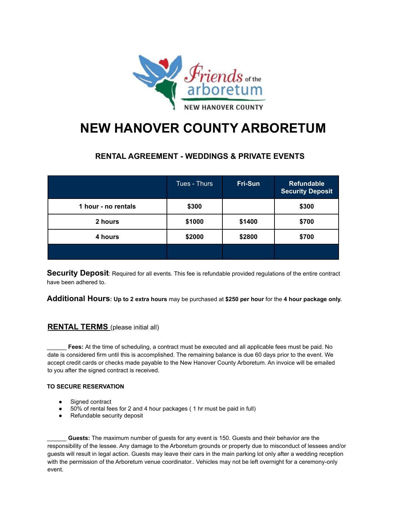

## **NEW HANOVER COUNTY ARBORETUM**

## **RENTAL AGREEMENT - WEDDINGS & PRIVATE EVENTS**

|                     | Tues - Thurs | Fri-Sun | <b>Refundable</b><br><b>Security Deposit</b> |
|---------------------|--------------|---------|----------------------------------------------|
| 1 hour - no rentals | \$300        |         | \$300                                        |
| 2 hours             | \$1000       | \$1400  | \$700                                        |
| 4 hours             | \$2000       | \$2800  | \$700                                        |
|                     |              |         |                                              |

**Security Deposit**: Required for all events. This fee is refundable provided regulations of the entire contract have been adhered to.

**Additional Hours: Up to 2 extra hours** may be purchased at **\$250 per hour** for the **4 hour package only.**

## **RENTAL TERMS** (please initial all)

Fees: At the time of scheduling, a contract must be executed and all applicable fees must be paid. No date is considered firm until this is accomplished. The remaining balance is due 60 days prior to the event. We accept credit cards or checks made payable to the New Hanover County Arboretum. An invoice will be emailed to you after the signed contract is received.

## **TO SECURE RESERVATION**

- Signed contract
- 50% of rental fees for 2 and 4 hour packages ( 1 hr must be paid in full)
- Refundable security deposit

\_\_\_\_\_\_ **Guests:** The maximum number of guests for any event is 150. Guests and their behavior are the responsibility of the lessee. Any damage to the Arboretum grounds or property due to misconduct of lessees and/or guests will result in legal action. Guests may leave their cars in the main parking lot only after a wedding reception with the permission of the Arboretum venue coordinator.. Vehicles may not be left overnight for a ceremony-only event.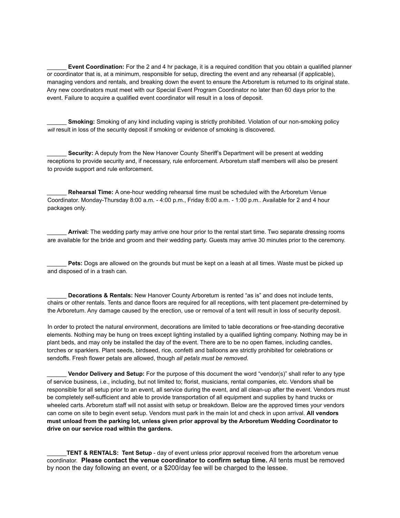\_\_\_\_\_\_ **Event Coordination:** For the 2 and 4 hr package, it is a required condition that you obtain a qualified planner or coordinator that is, at a minimum, responsible for setup, directing the event and any rehearsal (if applicable), managing vendors and rentals, and breaking down the event to ensure the Arboretum is returned to its original state. Any new coordinators must meet with our Special Event Program Coordinator no later than 60 days prior to the event. Failure to acquire a qualified event coordinator will result in a loss of deposit.

\_\_\_\_\_\_ **Smoking:** Smoking of any kind including vaping is strictly prohibited. Violation of our non-smoking policy *will* result in loss of the security deposit if smoking or evidence of smoking is discovered.

**Security:** A deputy from the New Hanover County Sheriff's Department will be present at wedding receptions to provide security and, if necessary, rule enforcement. Arboretum staff members will also be present to provide support and rule enforcement.

\_\_\_\_\_\_ **Rehearsal Time:** A one-hour wedding rehearsal time must be scheduled with the Arboretum Venue Coordinator. Monday-Thursday 8:00 a.m. - 4:00 p.m., Friday 8:00 a.m. - 1:00 p.m.. Available for 2 and 4 hour packages only.

Arrival: The wedding party may arrive one hour prior to the rental start time. Two separate dressing rooms are available for the bride and groom and their wedding party. Guests may arrive 30 minutes prior to the ceremony.

**Pets:** Dogs are allowed on the grounds but must be kept on a leash at all times. Waste must be picked up and disposed of in a trash can.

\_\_\_\_\_\_ **Decorations & Rentals:** New Hanover County Arboretum is rented "as is" and does not include tents, chairs or other rentals. Tents and dance floors are required for all receptions, with tent placement pre-determined by the Arboretum. Any damage caused by the erection, use or removal of a tent will result in loss of security deposit.

In order to protect the natural environment, decorations are limited to table decorations or free-standing decorative elements. Nothing may be hung on trees except lighting installed by a qualified lighting company. Nothing may be in plant beds, and may only be installed the day of the event. There are to be no open flames, including candles, torches or sparklers. Plant seeds, birdseed, rice, confetti and balloons are strictly prohibited for celebrations or sendoffs. Fresh flower petals are allowed, though *all petals must be removed.*

\_\_\_\_\_\_ **Vendor Delivery and Setup:** For the purpose of this document the word "vendor(s)" shall refer to any type of service business, i.e., including, but not limited to; florist, musicians, rental companies, etc. Vendors shall be responsible for all setup prior to an event, all service during the event, and all clean-up after the event. Vendors must be completely self-sufficient and able to provide transportation of all equipment and supplies by hand trucks or wheeled carts. Arboretum staff will not assist with setup or breakdown. Below are the approved times your vendors can come on site to begin event setup. Vendors must park in the main lot and check in upon arrival. **All vendors must unload from the parking lot, unless given prior approval by the Arboretum Wedding Coordinator to drive on our service road within the gardens.**

\_\_\_\_\_\_**TENT & RENTALS: Tent Setup** - day of event unless prior approval received from the arboretum venue coordinator. **Please contact the venue coordinator to confirm setup time.** All tents must be removed by noon the day following an event, or a \$200/day fee will be charged to the lessee.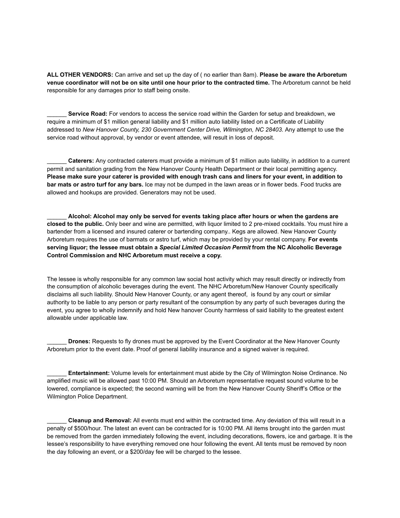**ALL OTHER VENDORS:** Can arrive and set up the day of ( no earlier than 8am). **Please be aware the Arboretum venue coordinator will not be on site until one hour prior to the contracted time.** The Arboretum cannot be held responsible for any damages prior to staff being onsite.

**Service Road:** For vendors to access the service road within the Garden for setup and breakdown, we require a minimum of \$1 million general liability and \$1 million auto liability listed on a Certificate of Liability addressed to *New Hanover County, 230 Government Center Drive, Wilmington, NC 28403.* Any attempt to use the service road without approval, by vendor or event attendee, will result in loss of deposit.

\_\_\_\_\_\_ **Caterers:** Any contracted caterers must provide a minimum of \$1 million auto liability, in addition to a current permit and sanitation grading from the New Hanover County Health Department or their local permitting agency. **Please make sure your caterer is provided with enough trash cans and liners for your event, in addition to bar mats or astro turf for any bars.** Ice may not be dumped in the lawn areas or in flower beds. Food trucks are allowed and hookups are provided. Generators may not be used.

\_\_\_\_\_\_ **Alcohol: Alcohol may only be served for events taking place after hours or when the gardens are closed to the public.** Only beer and wine are permitted, with liquor limited to 2 pre-mixed cocktails. You must hire a bartender from a licensed and insured caterer or bartending company.. Kegs are allowed. New Hanover County Arboretum requires the use of barmats or astro turf, which may be provided by your rental company. **For events serving liquor; the lessee must obtain a** *Special Limited Occasion Permit* **from the NC Alcoholic Beverage Control Commission and NHC Arboretum must receive a copy.**

The lessee is wholly responsible for any common law social host activity which may result directly or indirectly from the consumption of alcoholic beverages during the event. The NHC Arboretum/New Hanover County specifically disclaims all such liability. Should New Hanover County, or any agent thereof, is found by any court or similar authority to be liable to any person or party resultant of the consumption by any party of such beverages during the event, you agree to wholly indemnify and hold New hanover County harmless of said liability to the greatest extent allowable under applicable law.

\_\_\_\_\_\_ **Drones:** Requests to fly drones must be approved by the Event Coordinator at the New Hanover County Arboretum prior to the event date. Proof of general liability insurance and a signed waiver is required.

\_\_\_\_\_\_ **Entertainment:** Volume levels for entertainment must abide by the City of Wilmington Noise Ordinance. No amplified music will be allowed past 10:00 PM. Should an Arboretum representative request sound volume to be lowered, compliance is expected; the second warning will be from the New Hanover County Sheriff's Office or the Wilmington Police Department.

\_\_\_\_\_\_ **Cleanup and Removal:** All events must end within the contracted time. Any deviation of this will result in a penalty of \$500/hour. The latest an event can be contracted for is 10:00 PM. All items brought into the garden must be removed from the garden immediately following the event, including decorations, flowers, ice and garbage. It is the lessee's responsibility to have everything removed one hour following the event. All tents must be removed by noon the day following an event, or a \$200/day fee will be charged to the lessee.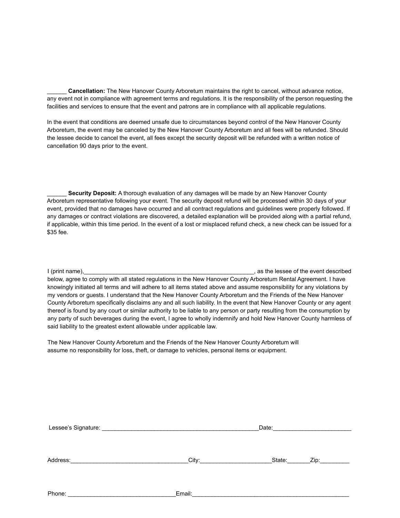\_\_\_\_\_\_ **Cancellation:** The New Hanover County Arboretum maintains the right to cancel, without advance notice, any event not in compliance with agreement terms and regulations. It is the responsibility of the person requesting the facilities and services to ensure that the event and patrons are in compliance with all applicable regulations.

In the event that conditions are deemed unsafe due to circumstances beyond control of the New Hanover County Arboretum, the event may be canceled by the New Hanover County Arboretum and all fees will be refunded. Should the lessee decide to cancel the event, all fees except the security deposit will be refunded with a written notice of cancellation 90 days prior to the event.

\_\_\_\_\_\_ **Security Deposit:** A thorough evaluation of any damages will be made by an New Hanover County Arboretum representative following your event. The security deposit refund will be processed within 30 days of your event, provided that no damages have occurred and all contract regulations and guidelines were properly followed. If any damages or contract violations are discovered, a detailed explanation will be provided along with a partial refund, if applicable, within this time period. In the event of a lost or misplaced refund check, a new check can be issued for a \$35 fee.

I (print name),  $\blacksquare$  as the lessee of the event described below, agree to comply with all stated regulations in the New Hanover County Arboretum Rental Agreement. I have knowingly initiated all terms and will adhere to all items stated above and assume responsibility for any violations by my vendors or guests. I understand that the New Hanover County Arboretum and the Friends of the New Hanover County Arboretum specifically disclaims any and all such liability. In the event that New Hanover County or any agent thereof is found by any court or similar authority to be liable to any person or party resulting from the consumption by any party of such beverages during the event, I agree to wholly indemnify and hold New Hanover County harmless of said liability to the greatest extent allowable under applicable law.

The New Hanover County Arboretum and the Friends of the New Hanover County Arboretum will assume no responsibility for loss, theft, or damage to vehicles, personal items or equipment.

| Address: | City: the contract of the contract of the contract of the contract of the contract of the contract of the contract of the contract of the contract of the contract of the contract of the contract of the contract of the cont | State: | Zip: |
|----------|--------------------------------------------------------------------------------------------------------------------------------------------------------------------------------------------------------------------------------|--------|------|
| Phone:   | Email:                                                                                                                                                                                                                         |        |      |